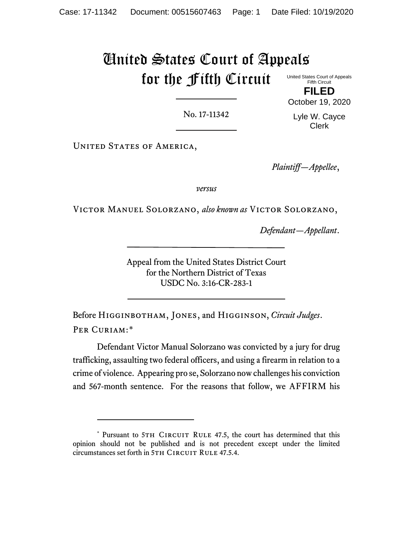# United States Court of Appeals for the Fifth Circuit

United States Court of Appeals Fifth Circuit **FILED**

No. 17-11342

Lyle W. Cayce Clerk

October 19, 2020

UNITED STATES OF AMERICA,

*Plaintiff—Appellee*,

*versus*

Victor Manuel Solorzano, *also known as* Victor Solorzano,

*Defendant—Appellant*.

Appeal from the United States District Court for the Northern District of Texas USDC No. 3:16-CR-283-1

Before Higginbotham, Jones, and Higginson, *Circuit Judges*. PER CURIAM:[\\*](#page-0-0)

Defendant Victor Manual Solorzano was convicted by a jury for drug trafficking, assaulting two federal officers, and using a firearm in relation to a crime of violence. Appearing pro se, Solorzano now challenges his conviction and 567-month sentence. For the reasons that follow, we AFFIRM his

<span id="page-0-0"></span><sup>\*</sup> Pursuant to 5TH CIRCUIT RULE 47.5, the court has determined that this opinion should not be published and is not precedent except under the limited circumstances set forth in 5TH CIRCUIT RULE 47.5.4.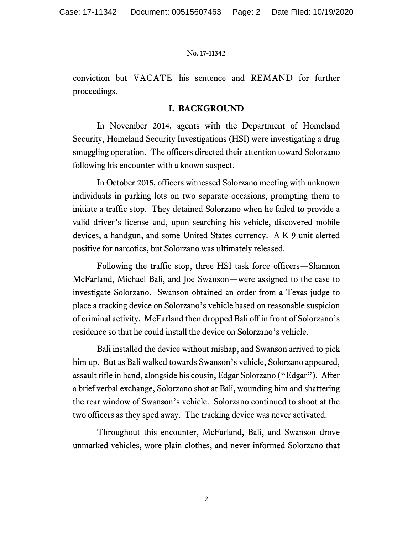conviction but VACATE his sentence and REMAND for further proceedings.

## **I. BACKGROUND**

In November 2014, agents with the Department of Homeland Security, Homeland Security Investigations (HSI) were investigating a drug smuggling operation. The officers directed their attention toward Solorzano following his encounter with a known suspect.

In October 2015, officers witnessed Solorzano meeting with unknown individuals in parking lots on two separate occasions, prompting them to initiate a traffic stop. They detained Solorzano when he failed to provide a valid driver's license and, upon searching his vehicle, discovered mobile devices, a handgun, and some United States currency. A K-9 unit alerted positive for narcotics, but Solorzano was ultimately released.

Following the traffic stop, three HSI task force officers—Shannon McFarland, Michael Bali, and Joe Swanson—were assigned to the case to investigate Solorzano. Swanson obtained an order from a Texas judge to place a tracking device on Solorzano's vehicle based on reasonable suspicion of criminal activity. McFarland then dropped Bali off in front of Solorzano's residence so that he could install the device on Solorzano's vehicle.

Bali installed the device without mishap, and Swanson arrived to pick him up. But as Bali walked towards Swanson's vehicle, Solorzano appeared, assault rifle in hand, alongside his cousin, Edgar Solorzano ("Edgar"). After a brief verbal exchange, Solorzano shot at Bali, wounding him and shattering the rear window of Swanson's vehicle. Solorzano continued to shoot at the two officers as they sped away. The tracking device was never activated.

Throughout this encounter, McFarland, Bali, and Swanson drove unmarked vehicles, wore plain clothes, and never informed Solorzano that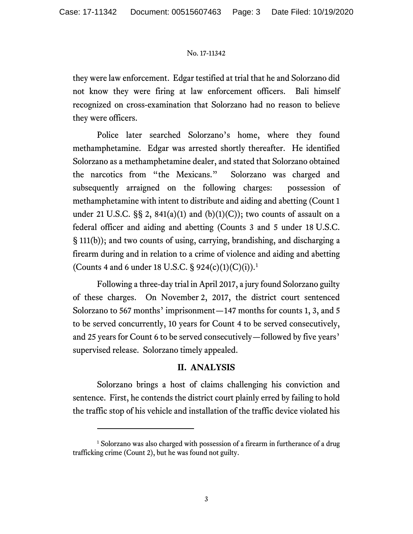they were law enforcement. Edgar testified at trial that he and Solorzano did not know they were firing at law enforcement officers. Bali himself recognized on cross-examination that Solorzano had no reason to believe they were officers.

Police later searched Solorzano's home, where they found methamphetamine. Edgar was arrested shortly thereafter. He identified Solorzano as a methamphetamine dealer, and stated that Solorzano obtained the narcotics from "the Mexicans." Solorzano was charged and subsequently arraigned on the following charges: possession of methamphetamine with intent to distribute and aiding and abetting (Count 1 under 21 U.S.C.  $\S$ § 2, 841(a)(1) and (b)(1)(C)); two counts of assault on a federal officer and aiding and abetting (Counts 3 and 5 under 18 U.S.C. § 111(b)); and two counts of using, carrying, brandishing, and discharging a firearm during and in relation to a crime of violence and aiding and abetting (Counts 4 and 6 under [1](#page-2-0)8 U.S.C. § 924(c)(1)(C)(i)).<sup>1</sup>

Following a three-day trial in April 2017, a jury found Solorzano guilty of these charges. On November 2, 2017, the district court sentenced Solorzano to 567 months' imprisonment—147 months for counts 1, 3, and 5 to be served concurrently, 10 years for Count 4 to be served consecutively, and 25 years for Count 6 to be served consecutively—followed by five years' supervised release. Solorzano timely appealed.

# **II. ANALYSIS**

Solorzano brings a host of claims challenging his conviction and sentence. First, he contends the district court plainly erred by failing to hold the traffic stop of his vehicle and installation of the traffic device violated his

<span id="page-2-0"></span><sup>&</sup>lt;sup>1</sup> Solorzano was also charged with possession of a firearm in furtherance of a drug trafficking crime (Count 2), but he was found not guilty.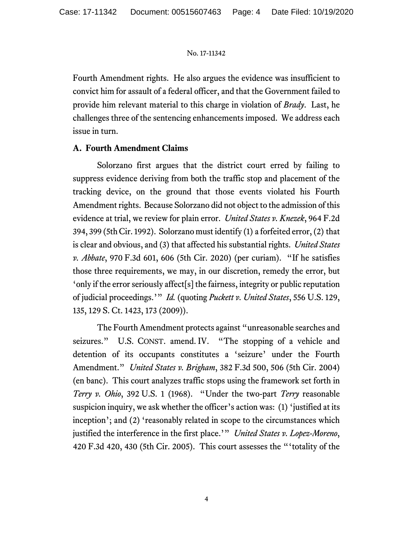Fourth Amendment rights. He also argues the evidence was insufficient to convict him for assault of a federal officer, and that the Government failed to provide him relevant material to this charge in violation of *Brady*. Last, he challenges three of the sentencing enhancements imposed. We address each issue in turn.

## **A. Fourth Amendment Claims**

Solorzano first argues that the district court erred by failing to suppress evidence deriving from both the traffic stop and placement of the tracking device, on the ground that those events violated his Fourth Amendment rights. Because Solorzano did not object to the admission of this evidence at trial, we review for plain error. *United States v. Knezek*, 964 F.2d 394, 399 (5thCir. 1992). Solorzano must identify (1) a forfeited error, (2) that is clear and obvious, and (3) that affected his substantial rights. *United States v. Abbate*, 970 F.3d 601, 606 (5th Cir. 2020) (per curiam). "If he satisfies those three requirements, we may, in our discretion, remedy the error, but 'only if the error seriously affect[s] the fairness, integrity or public reputation of judicial proceedings.'" *Id.* (quoting *Puckett v. United States*, 556 U.S. 129, 135, 129 S. Ct. 1423, 173 (2009)).

The Fourth Amendment protects against "unreasonable searches and seizures." U.S. CONST. amend. IV. "The stopping of a vehicle and detention of its occupants constitutes a 'seizure' under the Fourth Amendment." *United States v. Brigham*, 382 F.3d 500, 506 (5th Cir. 2004) (en banc). This court analyzes traffic stops using the framework set forth in *Terry v. Ohio*, 392 U.S. 1 (1968). "Under the two-part *Terry* reasonable suspicion inquiry, we ask whether the officer's action was: (1) 'justified at its inception'; and (2) 'reasonably related in scope to the circumstances which justified the interference in the first place.'" *United States v. Lopez-Moreno*, 420 F.3d 420, 430 (5th Cir. 2005). This court assesses the "'totality of the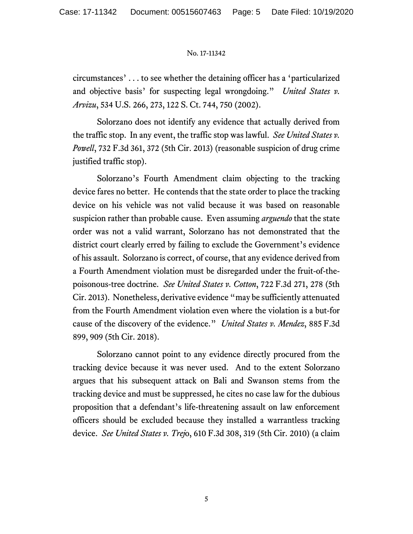circumstances' . . . to see whether the detaining officer has a 'particularized and objective basis' for suspecting legal wrongdoing." *United States v. Arvizu*, 534 U.S. 266, 273, 122 S. Ct. 744, 750 (2002).

Solorzano does not identify any evidence that actually derived from the traffic stop. In any event, the traffic stop was lawful. *See United States v. Powell*, 732 F.3d 361, 372 (5th Cir. 2013) (reasonable suspicion of drug crime justified traffic stop).

Solorzano's Fourth Amendment claim objecting to the tracking device fares no better. He contends that the state order to place the tracking device on his vehicle was not valid because it was based on reasonable suspicion rather than probable cause. Even assuming *arguendo* that the state order was not a valid warrant, Solorzano has not demonstrated that the district court clearly erred by failing to exclude the Government's evidence of his assault. Solorzano is correct, of course, that any evidence derived from a Fourth Amendment violation must be disregarded under the fruit-of-thepoisonous-tree doctrine. *See United States v. Cotton*, 722 F.3d 271, 278 (5th Cir. 2013). Nonetheless, derivative evidence "may be sufficiently attenuated from the Fourth Amendment violation even where the violation is a but-for cause of the discovery of the evidence." *United States v. Mendez*, 885 F.3d 899, 909 (5th Cir. 2018).

Solorzano cannot point to any evidence directly procured from the tracking device because it was never used. And to the extent Solorzano argues that his subsequent attack on Bali and Swanson stems from the tracking device and must be suppressed, he cites no case law for the dubious proposition that a defendant's life-threatening assault on law enforcement officers should be excluded because they installed a warrantless tracking device. *See United States v. Trej*o, 610 F.3d 308, 319 (5th Cir. 2010) (a claim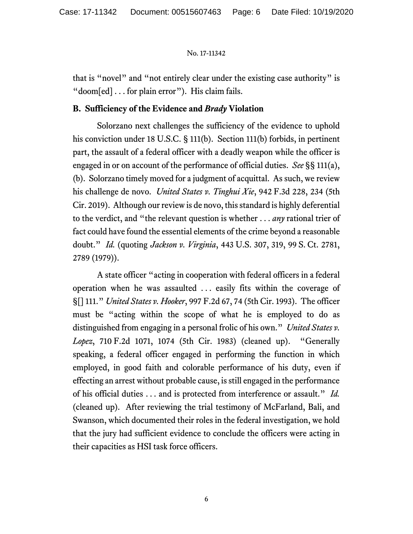that is "novel" and "not entirely clear under the existing case authority" is "doom[ed] . . . for plain error"). His claim fails.

# **B. Sufficiency of the Evidence and** *Brady* **Violation**

Solorzano next challenges the sufficiency of the evidence to uphold his conviction under 18 U.S.C. § 111(b). Section 111(b) forbids, in pertinent part, the assault of a federal officer with a deadly weapon while the officer is engaged in or on account of the performance of official duties. *See* §§ 111(a), (b). Solorzano timely moved for a judgment of acquittal. As such, we review his challenge de novo. *United States v. Tinghui Xie*, 942 F.3d 228, 234 (5th Cir. 2019). Although our review is de novo, this standard is highly deferential to the verdict, and "the relevant question is whether . . . *any* rational trier of fact could have found the essential elements of the crime beyond a reasonable doubt." *Id.* (quoting *Jackson v. Virginia*, 443 U.S. 307, 319, 99 S. Ct. 2781, 2789 (1979)).

A state officer "acting in cooperation with federal officers in a federal operation when he was assaulted . . . easily fits within the coverage of §[] 111." *United States v. Hooker*, 997 F.2d 67, 74 (5th Cir. 1993). The officer must be "acting within the scope of what he is employed to do as distinguished from engaging in a personal frolic of his own." *United States v. Lopez*, 710 F.2d 1071, 1074 (5th Cir. 1983) (cleaned up). "Generally speaking, a federal officer engaged in performing the function in which employed, in good faith and colorable performance of his duty, even if effecting an arrest without probable cause, is still engaged in the performance of his official duties . . . and is protected from interference or assault." *Id.*  (cleaned up). After reviewing the trial testimony of McFarland, Bali, and Swanson, which documented their roles in the federal investigation, we hold that the jury had sufficient evidence to conclude the officers were acting in their capacities as HSI task force officers.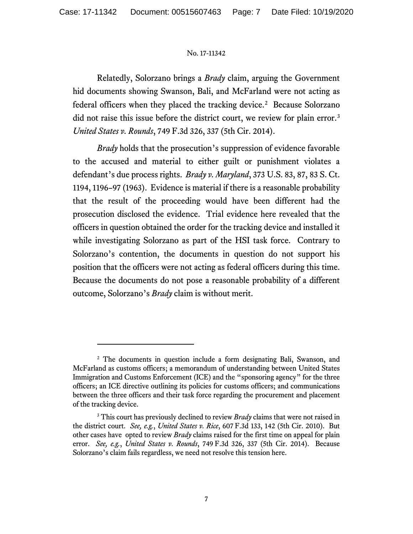Relatedly, Solorzano brings a *Brady* claim, arguing the Government hid documents showing Swanson, Bali, and McFarland were not acting as federal officers when they placed the tracking device.[2](#page-6-0) Because Solorzano did not raise this issue before the district court, we review for plain error.[3](#page-6-1) *United States v. Rounds*, 749 F.3d 326, 337 (5th Cir. 2014).

*Brady* holds that the prosecution's suppression of evidence favorable to the accused and material to either guilt or punishment violates a defendant's due process rights. *Brady v. Maryland*, 373 U.S. 83, 87, 83 S. Ct. 1194, 1196–97 (1963). Evidence is material if there is a reasonable probability that the result of the proceeding would have been different had the prosecution disclosed the evidence. Trial evidence here revealed that the officers in question obtained the order for the tracking device and installed it while investigating Solorzano as part of the HSI task force. Contrary to Solorzano's contention, the documents in question do not support his position that the officers were not acting as federal officers during this time. Because the documents do not pose a reasonable probability of a different outcome, Solorzano's *Brady* claim is without merit.

<span id="page-6-0"></span><sup>&</sup>lt;sup>2</sup> The documents in question include a form designating Bali, Swanson, and McFarland as customs officers; a memorandum of understanding between United States Immigration and Customs Enforcement (ICE) and the "sponsoring agency" for the three officers; an ICE directive outlining its policies for customs officers; and communications between the three officers and their task force regarding the procurement and placement of the tracking device.

<span id="page-6-1"></span><sup>&</sup>lt;sup>3</sup> This court has previously declined to review *Brady* claims that were not raised in the district court. *See, e.g.*, *United States v. Rice*, 607 F.3d 133, 142 (5th Cir. 2010). But other cases have opted to review *Brady* claims raised for the first time on appeal for plain error. *See, e.g.*, *United States v. Rounds*, 749 F.3d 326, 337 (5th Cir. 2014). Because Solorzano's claim fails regardless, we need not resolve this tension here.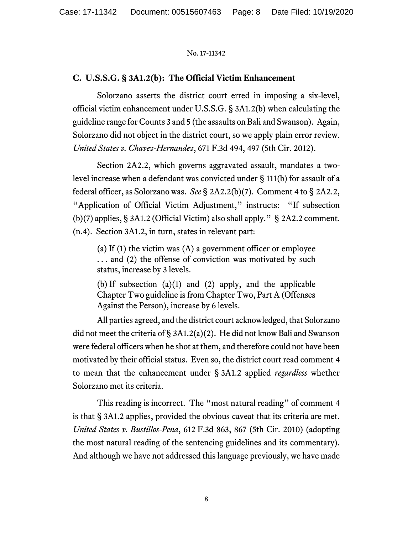## **C. U.S.S.G. § 3A1.2(b): The Official Victim Enhancement**

Solorzano asserts the district court erred in imposing a six-level, official victim enhancement under U.S.S.G. § 3A1.2(b) when calculating the guideline range for Counts 3 and 5 (the assaults on Bali and Swanson). Again, Solorzano did not object in the district court, so we apply plain error review. *United States v. Chavez-Hernandez*, 671 F.3d 494, 497 (5th Cir. 2012).

Section 2A2.2, which governs aggravated assault, mandates a twolevel increase when a defendant was convicted under § 111(b) for assault of a federal officer, as Solorzano was. *See* § 2A2.2(b)(7). Comment 4 to § 2A2.2, "Application of Official Victim Adjustment," instructs: "If subsection (b)(7) applies, § 3A1.2 (Official Victim) also shall apply." § 2A2.2 comment. (n.4). Section 3A1.2, in turn, states in relevant part:

(a) If (1) the victim was (A) a government officer or employee ... and (2) the offense of conviction was motivated by such status, increase by 3 levels.

(b) If subsection (a)(1) and (2) apply, and the applicable Chapter Two guideline is from Chapter Two, Part A (Offenses Against the Person), increase by 6 levels.

All parties agreed, and the district court acknowledged, that Solorzano did not meet the criteria of § 3A1.2(a)(2). He did not know Bali and Swanson were federal officers when he shot at them, and therefore could not have been motivated by their official status. Even so, the district court read comment 4 to mean that the enhancement under § 3A1.2 applied *regardless* whether Solorzano met its criteria.

This reading is incorrect. The "most natural reading" of comment 4 is that § 3A1.2 applies, provided the obvious caveat that its criteria are met. *United States v. Bustillos-Pena*, 612 F.3d 863, 867 (5th Cir. 2010) (adopting the most natural reading of the sentencing guidelines and its commentary). And although we have not addressed this language previously, we have made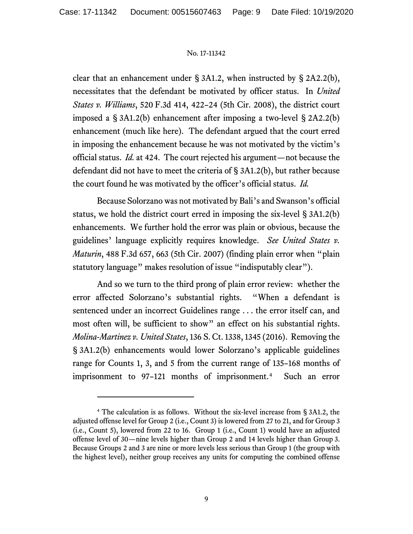clear that an enhancement under § 3A1.2, when instructed by § 2A2.2(b), necessitates that the defendant be motivated by officer status. In *United States v. Williams*, 520 F.3d 414, 422–24 (5th Cir. 2008), the district court imposed a § 3A1.2(b) enhancement after imposing a two-level § 2A2.2(b) enhancement (much like here). The defendant argued that the court erred in imposing the enhancement because he was not motivated by the victim's official status. *Id.* at 424. The court rejected his argument—not because the defendant did not have to meet the criteria of § 3A1.2(b), but rather because the court found he was motivated by the officer's official status. *Id.*

Because Solorzano was not motivated by Bali's and Swanson's official status, we hold the district court erred in imposing the six-level § 3A1.2(b) enhancements. We further hold the error was plain or obvious, because the guidelines' language explicitly requires knowledge. *See United States v. Maturin*, 488 F.3d 657, 663 (5th Cir. 2007) (finding plain error when "plain statutory language" makes resolution of issue "indisputably clear").

And so we turn to the third prong of plain error review: whether the error affected Solorzano's substantial rights. "When a defendant is sentenced under an incorrect Guidelines range . . . the error itself can, and most often will, be sufficient to show" an effect on his substantial rights. *Molina-Martinez v. United States*, 136 S. Ct. 1338, 1345 (2016). Removing the § 3A1.2(b) enhancements would lower Solorzano's applicable guidelines range for Counts 1, 3, and 5 from the current range of 135–168 months of imprisonment to 97–121 months of imprisonment.<sup>[4](#page-8-0)</sup> Such an error

<span id="page-8-0"></span><sup>4</sup> The calculation is as follows. Without the six-level increase from § 3A1.2, the adjusted offense level for Group 2 (i.e., Count 3) is lowered from 27 to 21, and for Group 3 (i.e., Count 5), lowered from 22 to 16. Group 1 (i.e., Count 1) would have an adjusted offense level of 30—nine levels higher than Group 2 and 14 levels higher than Group 3. Because Groups 2 and 3 are nine or more levels less serious than Group 1 (the group with the highest level), neither group receives any units for computing the combined offense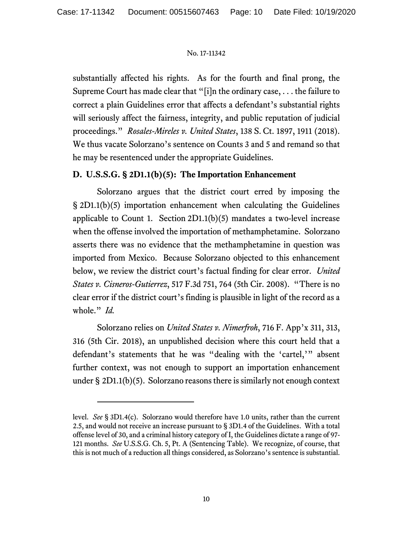substantially affected his rights. As for the fourth and final prong, the Supreme Court has made clear that "[i]n the ordinary case, . . . the failure to correct a plain Guidelines error that affects a defendant's substantial rights will seriously affect the fairness, integrity, and public reputation of judicial proceedings." *Rosales-Mireles v. United States*, 138 S. Ct. 1897, 1911 (2018). We thus vacate Solorzano's sentence on Counts 3 and 5 and remand so that he may be resentenced under the appropriate Guidelines.

# **D. U.S.S.G. § 2D1.1(b)(5): The Importation Enhancement**

Solorzano argues that the district court erred by imposing the § 2D1.1(b)(5) importation enhancement when calculating the Guidelines applicable to Count 1. Section  $2D1.1(b)(5)$  mandates a two-level increase when the offense involved the importation of methamphetamine. Solorzano asserts there was no evidence that the methamphetamine in question was imported from Mexico. Because Solorzano objected to this enhancement below, we review the district court's factual finding for clear error. *United States v. Cisneros-Gutierrez*, 517 F.3d 751, 764 (5th Cir. 2008). "There is no clear error if the district court's finding is plausible in light of the record as a whole." *Id.*

Solorzano relies on *United States v. Nimerfroh*, 716 F. App'x 311, 313, 316 (5th Cir. 2018), an unpublished decision where this court held that a defendant's statements that he was "dealing with the 'cartel,'" absent further context, was not enough to support an importation enhancement under § 2D1.1(b)(5). Solorzano reasons there is similarly not enough context

level. *See* § 3D1.4(c). Solorzano would therefore have 1.0 units, rather than the current 2.5, and would not receive an increase pursuant to § 3D1.4 of the Guidelines. With a total offense level of 30, and a criminal history category of I, the Guidelines dictate a range of 97- 121 months. *See* U.S.S.G. Ch. 5, Pt. A (Sentencing Table). We recognize, of course, that this is not much of a reduction all things considered, as Solorzano's sentence is substantial.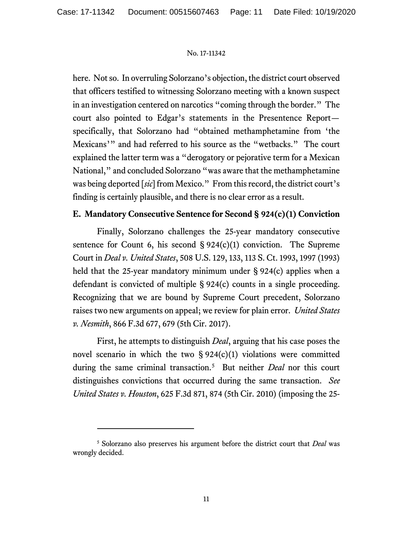here. Not so. In overruling Solorzano's objection, the district court observed that officers testified to witnessing Solorzano meeting with a known suspect in an investigation centered on narcotics "coming through the border." The court also pointed to Edgar's statements in the Presentence Report specifically, that Solorzano had "obtained methamphetamine from 'the Mexicans'" and had referred to his source as the "wetbacks." The court explained the latter term was a "derogatory or pejorative term for a Mexican National," and concluded Solorzano "was aware that the methamphetamine was being deported [*sic*] from Mexico." From this record, the district court's finding is certainly plausible, and there is no clear error as a result.

# **E. Mandatory Consecutive Sentence for Second § 924(c)(1) Conviction**

Finally, Solorzano challenges the 25-year mandatory consecutive sentence for Count 6, his second  $\S 924(c)(1)$  conviction. The Supreme Court in *Deal v. United States*, 508 U.S. 129, 133, 113 S. Ct. 1993, 1997 (1993) held that the 25-year mandatory minimum under § 924(c) applies when a defendant is convicted of multiple § 924(c) counts in a single proceeding. Recognizing that we are bound by Supreme Court precedent, Solorzano raises two new arguments on appeal; we review for plain error. *United States v. Nesmith*, 866 F.3d 677, 679 (5th Cir. 2017).

First, he attempts to distinguish *Deal*, arguing that his case poses the novel scenario in which the two  $\S 924(c)(1)$  violations were committed during the same criminal transaction.[5](#page-10-0) But neither *Deal* nor this court distinguishes convictions that occurred during the same transaction. *See United States v. Houston*, 625 F.3d 871, 874 (5th Cir. 2010) (imposing the 25-

<span id="page-10-0"></span><sup>5</sup> Solorzano also preserves his argument before the district court that *Deal* was wrongly decided.